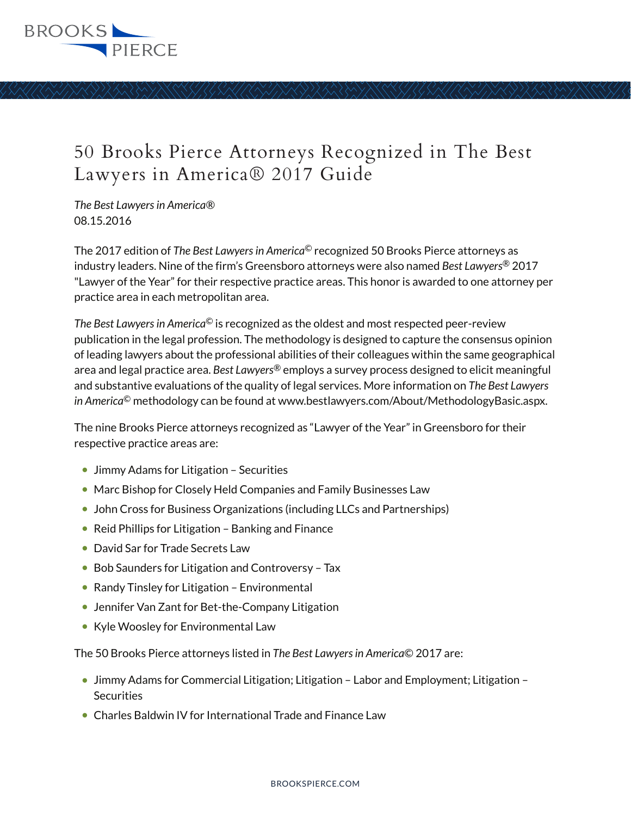

*The Best Lawyers in America®* 08.15.2016

The 2017 edition of *The Best Lawyers in America*© recognized 50 Brooks Pierce attorneys as industry leaders. Nine of the firm's Greensboro attorneys were also named *Best Lawyers*® 2017 "Lawyer of the Year" for their respective practice areas. This honor is awarded to one attorney per practice area in each metropolitan area.

*The Best Lawyers in America*© is recognized as the oldest and most respected peer-review publication in the legal profession. The methodology is designed to capture the consensus opinion of leading lawyers about the professional abilities of their colleagues within the same geographical area and legal practice area. *Best Lawyers*® employs a survey process designed to elicit meaningful and substantive evaluations of the quality of legal services. More information on *The Best Lawyers in America*© methodology can be found at www.bestlawyers.com/About/MethodologyBasic.aspx.

The nine Brooks Pierce attorneys recognized as "Lawyer of the Year" in Greensboro for their respective practice areas are:

- Jimmy Adams for Litigation Securities
- Marc Bishop for Closely Held Companies and Family Businesses Law
- John Cross for Business Organizations (including LLCs and Partnerships)
- Reid Phillips for Litigation Banking and Finance
- David Sar for Trade Secrets Law
- Bob Saunders for Litigation and Controversy Tax
- Randy Tinsley for Litigation Environmental
- Jennifer Van Zant for Bet-the-Company Litigation
- Kyle Woosley for Environmental Law

The 50 Brooks Pierce attorneys listed in *The Best Lawyers in America*© 2017 are:

- Jimmy Adams for Commercial Litigation; Litigation Labor and Employment; Litigation **Securities**
- Charles Baldwin IV for International Trade and Finance Law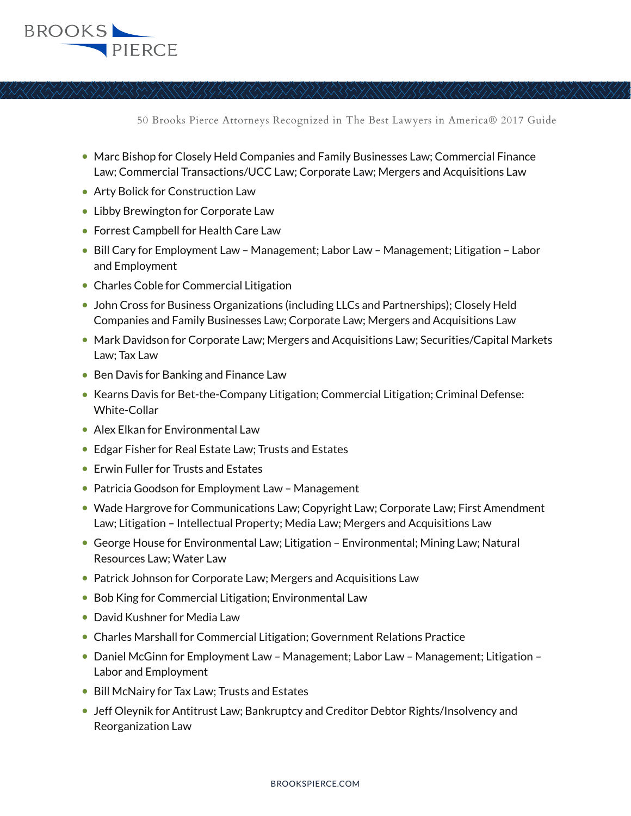

- Marc Bishop for Closely Held Companies and Family Businesses Law; Commercial Finance Law; Commercial Transactions/UCC Law; Corporate Law; Mergers and Acquisitions Law
- Arty Bolick for Construction Law
- Libby Brewington for Corporate Law
- Forrest Campbell for Health Care Law
- Bill Cary for Employment Law Management; Labor Law Management; Litigation Labor and Employment
- Charles Coble for Commercial Litigation
- John Cross for Business Organizations (including LLCs and Partnerships); Closely Held Companies and Family Businesses Law; Corporate Law; Mergers and Acquisitions Law
- Mark Davidson for Corporate Law; Mergers and Acquisitions Law; Securities/Capital Markets Law; Tax Law
- Ben Davis for Banking and Finance Law
- Kearns Davis for Bet-the-Company Litigation; Commercial Litigation; Criminal Defense: White-Collar
- Alex Elkan for Environmental Law
- Edgar Fisher for Real Estate Law; Trusts and Estates
- Erwin Fuller for Trusts and Estates
- Patricia Goodson for Employment Law Management
- Wade Hargrove for Communications Law; Copyright Law; Corporate Law; First Amendment Law; Litigation – Intellectual Property; Media Law; Mergers and Acquisitions Law
- George House for Environmental Law; Litigation Environmental; Mining Law; Natural Resources Law; Water Law
- Patrick Johnson for Corporate Law; Mergers and Acquisitions Law
- Bob King for Commercial Litigation; Environmental Law
- David Kushner for Media Law
- Charles Marshall for Commercial Litigation; Government Relations Practice
- Daniel McGinn for Employment Law Management; Labor Law Management; Litigation -Labor and Employment
- Bill McNairy for Tax Law; Trusts and Estates
- Jeff Oleynik for Antitrust Law; Bankruptcy and Creditor Debtor Rights/Insolvency and Reorganization Law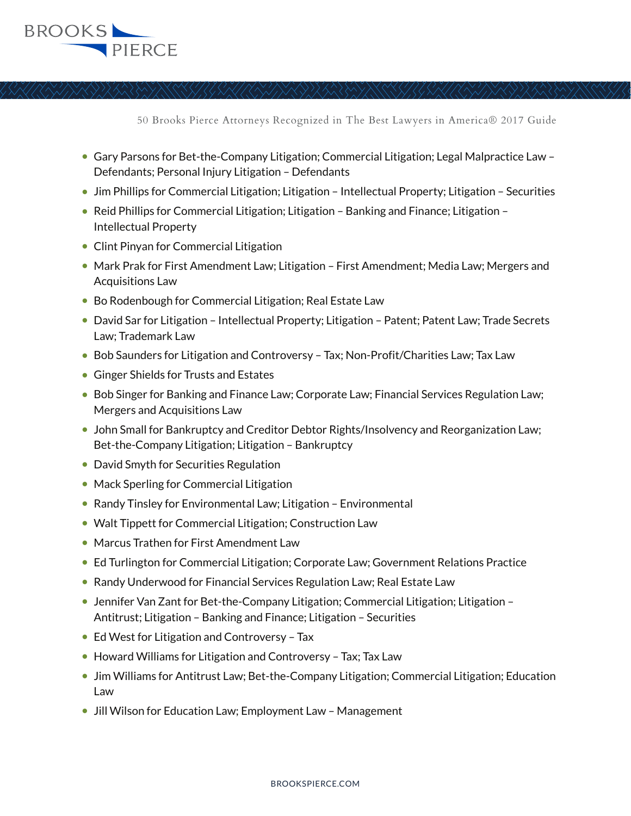

- Gary Parsons for Bet-the-Company Litigation; Commercial Litigation; Legal Malpractice Law Defendants; Personal Injury Litigation – Defendants
- Jim Phillips for Commercial Litigation; Litigation Intellectual Property; Litigation Securities
- Reid Phillips for Commercial Litigation; Litigation Banking and Finance; Litigation Intellectual Property
- Clint Pinyan for Commercial Litigation
- Mark Prak for First Amendment Law; Litigation First Amendment; Media Law; Mergers and Acquisitions Law
- Bo Rodenbough for Commercial Litigation; Real Estate Law
- David Sar for Litigation Intellectual Property; Litigation Patent; Patent Law; Trade Secrets Law; Trademark Law
- Bob Saunders for Litigation and Controversy Tax; Non-Profit/Charities Law; Tax Law
- Ginger Shields for Trusts and Estates
- Bob Singer for Banking and Finance Law; Corporate Law; Financial Services Regulation Law; Mergers and Acquisitions Law
- John Small for Bankruptcy and Creditor Debtor Rights/Insolvency and Reorganization Law; Bet-the-Company Litigation; Litigation – Bankruptcy
- David Smyth for Securities Regulation
- Mack Sperling for Commercial Litigation
- Randy Tinsley for Environmental Law; Litigation Environmental
- Walt Tippett for Commercial Litigation; Construction Law
- Marcus Trathen for First Amendment Law
- Ed Turlington for Commercial Litigation; Corporate Law; Government Relations Practice
- Randy Underwood for Financial Services Regulation Law; Real Estate Law
- Jennifer Van Zant for Bet-the-Company Litigation; Commercial Litigation; Litigation Antitrust; Litigation – Banking and Finance; Litigation – Securities
- Ed West for Litigation and Controversy Tax
- Howard Williams for Litigation and Controversy Tax; Tax Law
- Jim Williams for Antitrust Law; Bet-the-Company Litigation; Commercial Litigation; Education Law
- Jill Wilson for Education Law; Employment Law Management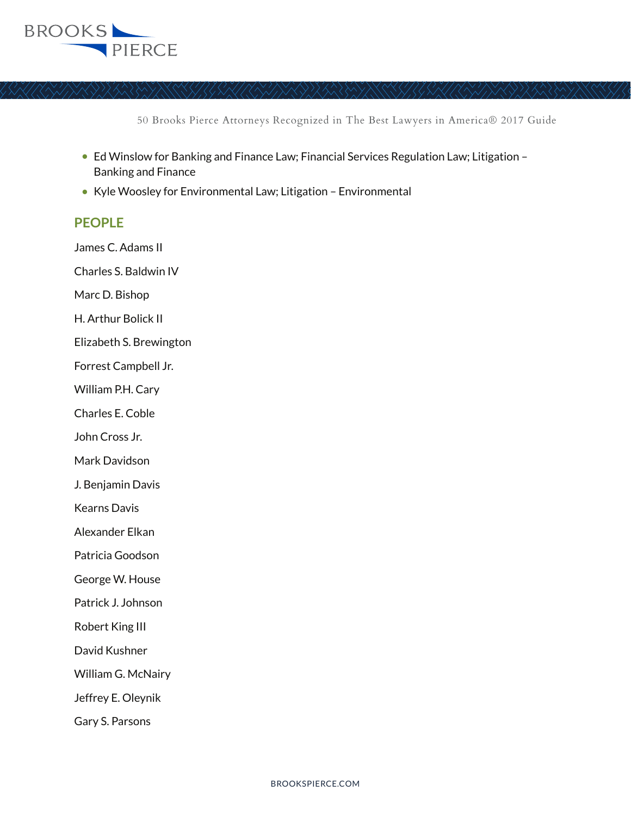

- Ed Winslow for Banking and Finance Law; Financial Services Regulation Law; Litigation -Banking and Finance
- Kyle Woosley for Environmental Law; Litigation Environmental

## **PEOPLE**

James C. Adams II

Charles S. Baldwin IV

Marc D. Bishop

H. Arthur Bolick II

Elizabeth S. Brewington

Forrest Campbell Jr.

William P.H. Cary

Charles E. Coble

John Cross Jr.

Mark Davidson

J. Benjamin Davis

Kearns Davis

Alexander Elkan

Patricia Goodson

George W. House

Patrick J. Johnson

Robert King III

David Kushner

William G. McNairy

Jeffrey E. Oleynik

Gary S. Parsons